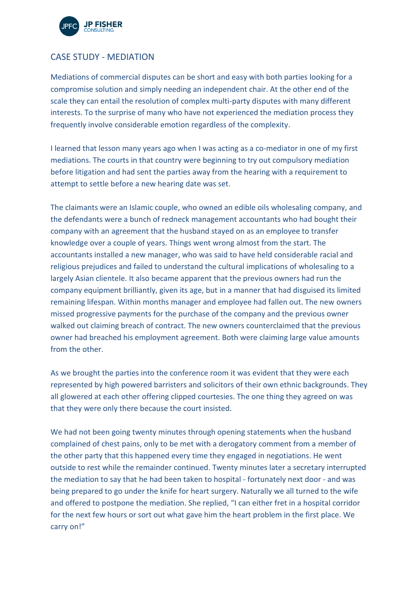

## CASE STUDY - MEDIATION

Mediations of commercial disputes can be short and easy with both parties looking for a compromise solution and simply needing an independent chair. At the other end of the scale they can entail the resolution of complex multi-party disputes with many different interests. To the surprise of many who have not experienced the mediation process they frequently involve considerable emotion regardless of the complexity.

I learned that lesson many years ago when I was acting as a co-mediator in one of my first mediations. The courts in that country were beginning to try out compulsory mediation before litigation and had sent the parties away from the hearing with a requirement to attempt to settle before a new hearing date was set.

The claimants were an Islamic couple, who owned an edible oils wholesaling company, and the defendants were a bunch of redneck management accountants who had bought their company with an agreement that the husband stayed on as an employee to transfer knowledge over a couple of years. Things went wrong almost from the start. The accountants installed a new manager, who was said to have held considerable racial and religious prejudices and failed to understand the cultural implications of wholesaling to a largely Asian clientele. It also became apparent that the previous owners had run the company equipment brilliantly, given its age, but in a manner that had disguised its limited remaining lifespan. Within months manager and employee had fallen out. The new owners missed progressive payments for the purchase of the company and the previous owner walked out claiming breach of contract. The new owners counterclaimed that the previous owner had breached his employment agreement. Both were claiming large value amounts from the other.

As we brought the parties into the conference room it was evident that they were each represented by high powered barristers and solicitors of their own ethnic backgrounds. They all glowered at each other offering clipped courtesies. The one thing they agreed on was that they were only there because the court insisted.

We had not been going twenty minutes through opening statements when the husband complained of chest pains, only to be met with a derogatory comment from a member of the other party that this happened every time they engaged in negotiations. He went outside to rest while the remainder continued. Twenty minutes later a secretary interrupted the mediation to say that he had been taken to hospital - fortunately next door - and was being prepared to go under the knife for heart surgery. Naturally we all turned to the wife and offered to postpone the mediation. She replied, "I can either fret in a hospital corridor for the next few hours or sort out what gave him the heart problem in the first place. We carry on!"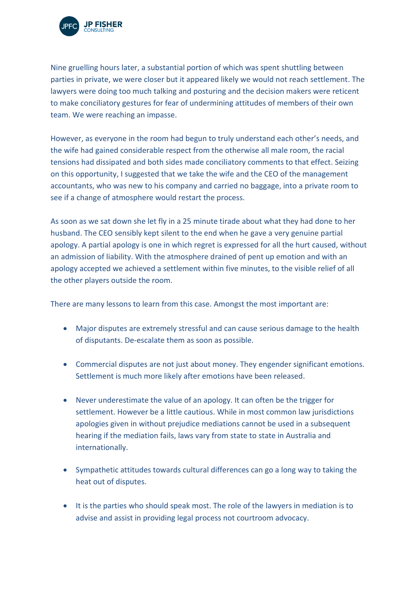

Nine gruelling hours later, a substantial portion of which was spent shuttling between parties in private, we were closer but it appeared likely we would not reach settlement. The lawyers were doing too much talking and posturing and the decision makers were reticent to make conciliatory gestures for fear of undermining attitudes of members of their own team. We were reaching an impasse.

However, as everyone in the room had begun to truly understand each other's needs, and the wife had gained considerable respect from the otherwise all male room, the racial tensions had dissipated and both sides made conciliatory comments to that effect. Seizing on this opportunity, I suggested that we take the wife and the CEO of the management accountants, who was new to his company and carried no baggage, into a private room to see if a change of atmosphere would restart the process.

As soon as we sat down she let fly in a 25 minute tirade about what they had done to her husband. The CEO sensibly kept silent to the end when he gave a very genuine partial apology. A partial apology is one in which regret is expressed for all the hurt caused, without an admission of liability. With the atmosphere drained of pent up emotion and with an apology accepted we achieved a settlement within five minutes, to the visible relief of all the other players outside the room.

There are many lessons to learn from this case. Amongst the most important are:

- Major disputes are extremely stressful and can cause serious damage to the health of disputants. De-escalate them as soon as possible.
- Commercial disputes are not just about money. They engender significant emotions. Settlement is much more likely after emotions have been released.
- Never underestimate the value of an apology. It can often be the trigger for settlement. However be a little cautious. While in most common law jurisdictions apologies given in without prejudice mediations cannot be used in a subsequent hearing if the mediation fails, laws vary from state to state in Australia and internationally.
- Sympathetic attitudes towards cultural differences can go a long way to taking the heat out of disputes.
- It is the parties who should speak most. The role of the lawyers in mediation is to advise and assist in providing legal process not courtroom advocacy.